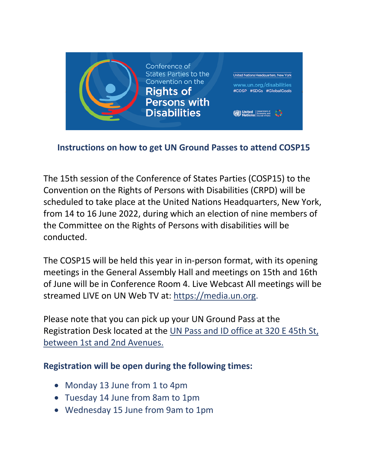

## **Instructions on how to get UN Ground Passes to attend COSP15**

The 15th session of the Conference of States Parties (COSP15) to the Convention on the Rights of Persons with Disabilities (CRPD) will be scheduled to take place at the United Nations Headquarters, New York, from 14 to 16 June 2022, during which an election of nine members of the Committee on the Rights of Persons with disabilities will be conducted.

The COSP15 will be held this year in in-person format, with its opening meetings in the General Assembly Hall and meetings on 15th and 16th of June will be in Conference Room 4. Live Webcast All meetings will be streamed LIVE on UN Web TV at: https://media.un.org.

Please note that you can pick up your UN Ground Pass at the Registration Desk located at the UN Pass and ID office at 320 E 45th St, between 1st and 2nd Avenues.

## **Registration will be open during the following times:**

- Monday 13 June from 1 to 4pm
- Tuesday 14 June from 8am to 1pm
- Wednesday 15 June from 9am to 1pm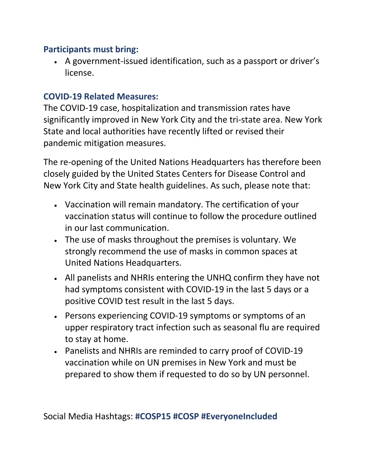## **Participants must bring:**

• A government-issued identification, such as a passport or driver's license.

## **COVID-19 Related Measures:**

The COVID-19 case, hospitalization and transmission rates have significantly improved in New York City and the tri-state area. New York State and local authorities have recently lifted or revised their pandemic mitigation measures.

The re-opening of the United Nations Headquarters has therefore been closely guided by the United States Centers for Disease Control and New York City and State health guidelines. As such, please note that:

- Vaccination will remain mandatory. The certification of your vaccination status will continue to follow the procedure outlined in our last communication.
- The use of masks throughout the premises is voluntary. We strongly recommend the use of masks in common spaces at United Nations Headquarters.
- All panelists and NHRIs entering the UNHQ confirm they have not had symptoms consistent with COVID-19 in the last 5 days or a positive COVID test result in the last 5 days.
- Persons experiencing COVID-19 symptoms or symptoms of an upper respiratory tract infection such as seasonal flu are required to stay at home.
- Panelists and NHRIs are reminded to carry proof of COVID-19 vaccination while on UN premises in New York and must be prepared to show them if requested to do so by UN personnel.